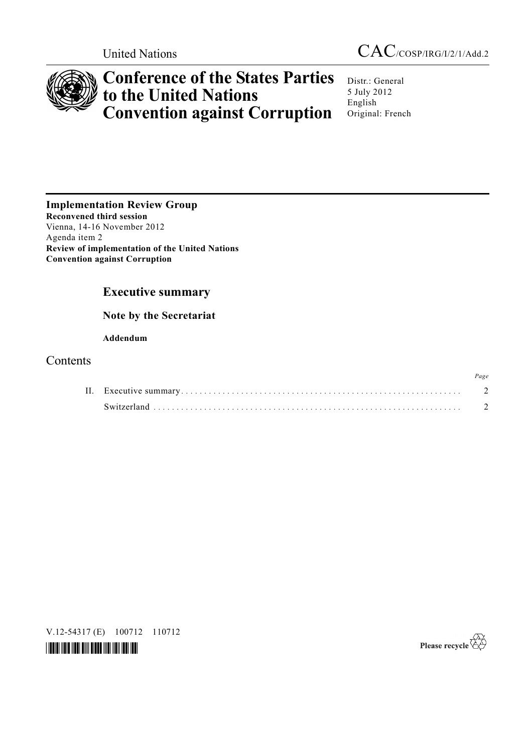



# **Conference of the States Parties to the United Nations Convention against Corruption**

Distr.: General 5 July 2012 English Original: French

**Implementation Review Group Reconvened third session**  Vienna, 14-16 November 2012 Agenda item 2 **Review of implementation of the United Nations Convention against Corruption**

# **Executive summary**

# **Note by the Secretariat**

# **Addendum**

# Contents

|  | Page |
|--|------|
|  |      |
|  |      |

V.12-54317 (E) 100712 110712



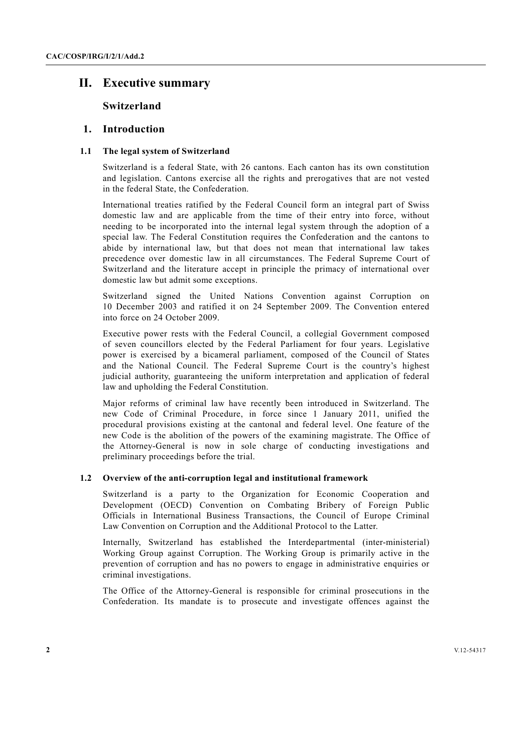# **II. Executive summary**

# **Switzerland**

# **1. Introduction**

# **1.1 The legal system of Switzerland**

Switzerland is a federal State, with 26 cantons. Each canton has its own constitution and legislation. Cantons exercise all the rights and prerogatives that are not vested in the federal State, the Confederation.

International treaties ratified by the Federal Council form an integral part of Swiss domestic law and are applicable from the time of their entry into force, without needing to be incorporated into the internal legal system through the adoption of a special law. The Federal Constitution requires the Confederation and the cantons to abide by international law, but that does not mean that international law takes precedence over domestic law in all circumstances. The Federal Supreme Court of Switzerland and the literature accept in principle the primacy of international over domestic law but admit some exceptions.

Switzerland signed the United Nations Convention against Corruption on 10 December 2003 and ratified it on 24 September 2009. The Convention entered into force on 24 October 2009.

Executive power rests with the Federal Council, a collegial Government composed of seven councillors elected by the Federal Parliament for four years. Legislative power is exercised by a bicameral parliament, composed of the Council of States and the National Council. The Federal Supreme Court is the country's highest judicial authority, guaranteeing the uniform interpretation and application of federal law and upholding the Federal Constitution.

Major reforms of criminal law have recently been introduced in Switzerland. The new Code of Criminal Procedure, in force since 1 January 2011, unified the procedural provisions existing at the cantonal and federal level. One feature of the new Code is the abolition of the powers of the examining magistrate. The Office of the Attorney-General is now in sole charge of conducting investigations and preliminary proceedings before the trial.

# **1.2 Overview of the anti-corruption legal and institutional framework**

Switzerland is a party to the Organization for Economic Cooperation and Development (OECD) Convention on Combating Bribery of Foreign Public Officials in International Business Transactions, the Council of Europe Criminal Law Convention on Corruption and the Additional Protocol to the Latter.

Internally, Switzerland has established the Interdepartmental (inter-ministerial) Working Group against Corruption. The Working Group is primarily active in the prevention of corruption and has no powers to engage in administrative enquiries or criminal investigations.

The Office of the Attorney-General is responsible for criminal prosecutions in the Confederation. Its mandate is to prosecute and investigate offences against the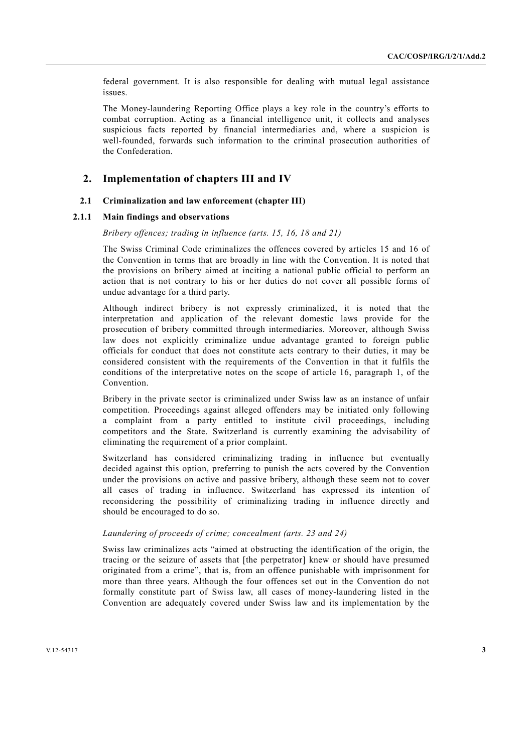federal government. It is also responsible for dealing with mutual legal assistance issues.

The Money-laundering Reporting Office plays a key role in the country's efforts to combat corruption. Acting as a financial intelligence unit, it collects and analyses suspicious facts reported by financial intermediaries and, where a suspicion is well-founded, forwards such information to the criminal prosecution authorities of the Confederation.

# **2. Implementation of chapters III and IV**

# **2.1 Criminalization and law enforcement (chapter III)**

## **2.1.1 Main findings and observations**

#### *Bribery offences; trading in influence (arts. 15, 16, 18 and 21)*

The Swiss Criminal Code criminalizes the offences covered by articles 15 and 16 of the Convention in terms that are broadly in line with the Convention. It is noted that the provisions on bribery aimed at inciting a national public official to perform an action that is not contrary to his or her duties do not cover all possible forms of undue advantage for a third party.

Although indirect bribery is not expressly criminalized, it is noted that the interpretation and application of the relevant domestic laws provide for the prosecution of bribery committed through intermediaries. Moreover, although Swiss law does not explicitly criminalize undue advantage granted to foreign public officials for conduct that does not constitute acts contrary to their duties, it may be considered consistent with the requirements of the Convention in that it fulfils the conditions of the interpretative notes on the scope of article 16, paragraph 1, of the Convention.

Bribery in the private sector is criminalized under Swiss law as an instance of unfair competition. Proceedings against alleged offenders may be initiated only following a complaint from a party entitled to institute civil proceedings, including competitors and the State. Switzerland is currently examining the advisability of eliminating the requirement of a prior complaint.

Switzerland has considered criminalizing trading in influence but eventually decided against this option, preferring to punish the acts covered by the Convention under the provisions on active and passive bribery, although these seem not to cover all cases of trading in influence. Switzerland has expressed its intention of reconsidering the possibility of criminalizing trading in influence directly and should be encouraged to do so.

# *Laundering of proceeds of crime; concealment (arts. 23 and 24)*

Swiss law criminalizes acts "aimed at obstructing the identification of the origin, the tracing or the seizure of assets that [the perpetrator] knew or should have presumed originated from a crime", that is, from an offence punishable with imprisonment for more than three years. Although the four offences set out in the Convention do not formally constitute part of Swiss law, all cases of money-laundering listed in the Convention are adequately covered under Swiss law and its implementation by the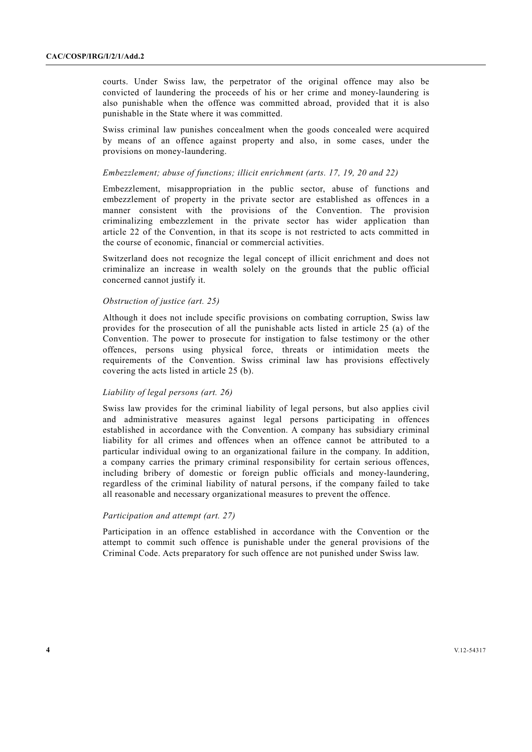courts. Under Swiss law, the perpetrator of the original offence may also be convicted of laundering the proceeds of his or her crime and money-laundering is also punishable when the offence was committed abroad, provided that it is also punishable in the State where it was committed.

Swiss criminal law punishes concealment when the goods concealed were acquired by means of an offence against property and also, in some cases, under the provisions on money-laundering.

#### *Embezzlement; abuse of functions; illicit enrichment (arts. 17, 19, 20 and 22)*

Embezzlement, misappropriation in the public sector, abuse of functions and embezzlement of property in the private sector are established as offences in a manner consistent with the provisions of the Convention. The provision criminalizing embezzlement in the private sector has wider application than article 22 of the Convention, in that its scope is not restricted to acts committed in the course of economic, financial or commercial activities.

Switzerland does not recognize the legal concept of illicit enrichment and does not criminalize an increase in wealth solely on the grounds that the public official concerned cannot justify it.

### *Obstruction of justice (art. 25)*

Although it does not include specific provisions on combating corruption, Swiss law provides for the prosecution of all the punishable acts listed in article 25 (a) of the Convention. The power to prosecute for instigation to false testimony or the other offences, persons using physical force, threats or intimidation meets the requirements of the Convention. Swiss criminal law has provisions effectively covering the acts listed in article 25 (b).

#### *Liability of legal persons (art. 26)*

Swiss law provides for the criminal liability of legal persons, but also applies civil and administrative measures against legal persons participating in offences established in accordance with the Convention. A company has subsidiary criminal liability for all crimes and offences when an offence cannot be attributed to a particular individual owing to an organizational failure in the company. In addition, a company carries the primary criminal responsibility for certain serious offences, including bribery of domestic or foreign public officials and money-laundering, regardless of the criminal liability of natural persons, if the company failed to take all reasonable and necessary organizational measures to prevent the offence.

#### *Participation and attempt (art. 27)*

Participation in an offence established in accordance with the Convention or the attempt to commit such offence is punishable under the general provisions of the Criminal Code. Acts preparatory for such offence are not punished under Swiss law.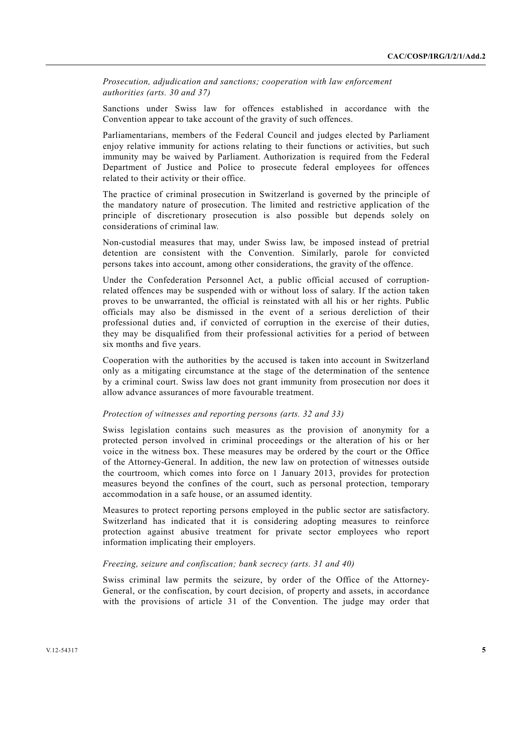*Prosecution, adjudication and sanctions; cooperation with law enforcement authorities (arts. 30 and 37)* 

Sanctions under Swiss law for offences established in accordance with the Convention appear to take account of the gravity of such offences.

Parliamentarians, members of the Federal Council and judges elected by Parliament enjoy relative immunity for actions relating to their functions or activities, but such immunity may be waived by Parliament. Authorization is required from the Federal Department of Justice and Police to prosecute federal employees for offences related to their activity or their office.

The practice of criminal prosecution in Switzerland is governed by the principle of the mandatory nature of prosecution. The limited and restrictive application of the principle of discretionary prosecution is also possible but depends solely on considerations of criminal law.

Non-custodial measures that may, under Swiss law, be imposed instead of pretrial detention are consistent with the Convention. Similarly, parole for convicted persons takes into account, among other considerations, the gravity of the offence.

Under the Confederation Personnel Act, a public official accused of corruptionrelated offences may be suspended with or without loss of salary. If the action taken proves to be unwarranted, the official is reinstated with all his or her rights. Public officials may also be dismissed in the event of a serious dereliction of their professional duties and, if convicted of corruption in the exercise of their duties, they may be disqualified from their professional activities for a period of between six months and five years.

Cooperation with the authorities by the accused is taken into account in Switzerland only as a mitigating circumstance at the stage of the determination of the sentence by a criminal court. Swiss law does not grant immunity from prosecution nor does it allow advance assurances of more favourable treatment.

#### *Protection of witnesses and reporting persons (arts. 32 and 33)*

Swiss legislation contains such measures as the provision of anonymity for a protected person involved in criminal proceedings or the alteration of his or her voice in the witness box. These measures may be ordered by the court or the Office of the Attorney-General. In addition, the new law on protection of witnesses outside the courtroom, which comes into force on 1 January 2013, provides for protection measures beyond the confines of the court, such as personal protection, temporary accommodation in a safe house, or an assumed identity.

Measures to protect reporting persons employed in the public sector are satisfactory. Switzerland has indicated that it is considering adopting measures to reinforce protection against abusive treatment for private sector employees who report information implicating their employers.

## *Freezing, seizure and confiscation; bank secrecy (arts. 31 and 40)*

Swiss criminal law permits the seizure, by order of the Office of the Attorney-General, or the confiscation, by court decision, of property and assets, in accordance with the provisions of article 31 of the Convention. The judge may order that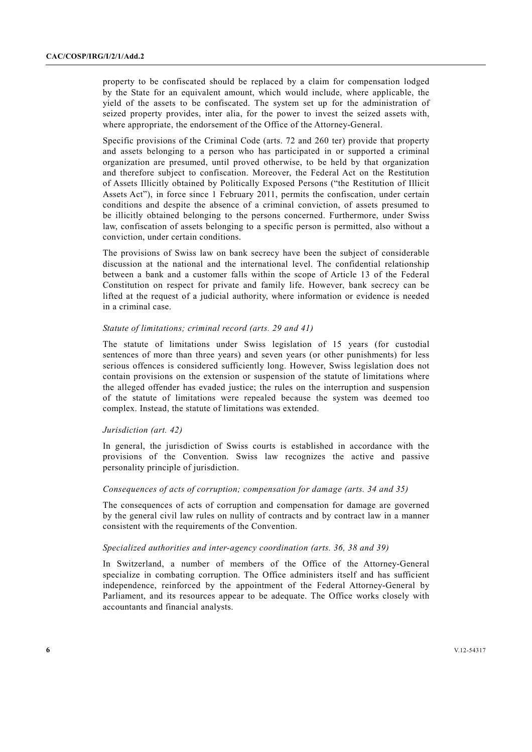property to be confiscated should be replaced by a claim for compensation lodged by the State for an equivalent amount, which would include, where applicable, the yield of the assets to be confiscated. The system set up for the administration of seized property provides, inter alia, for the power to invest the seized assets with, where appropriate, the endorsement of the Office of the Attorney-General.

Specific provisions of the Criminal Code (arts. 72 and 260 ter) provide that property and assets belonging to a person who has participated in or supported a criminal organization are presumed, until proved otherwise, to be held by that organization and therefore subject to confiscation. Moreover, the Federal Act on the Restitution of Assets Illicitly obtained by Politically Exposed Persons ("the Restitution of Illicit Assets Act"), in force since 1 February 2011, permits the confiscation, under certain conditions and despite the absence of a criminal conviction, of assets presumed to be illicitly obtained belonging to the persons concerned. Furthermore, under Swiss law, confiscation of assets belonging to a specific person is permitted, also without a conviction, under certain conditions.

The provisions of Swiss law on bank secrecy have been the subject of considerable discussion at the national and the international level. The confidential relationship between a bank and a customer falls within the scope of Article 13 of the Federal Constitution on respect for private and family life. However, bank secrecy can be lifted at the request of a judicial authority, where information or evidence is needed in a criminal case.

#### *Statute of limitations; criminal record (arts. 29 and 41)*

The statute of limitations under Swiss legislation of 15 years (for custodial sentences of more than three years) and seven years (or other punishments) for less serious offences is considered sufficiently long. However, Swiss legislation does not contain provisions on the extension or suspension of the statute of limitations where the alleged offender has evaded justice; the rules on the interruption and suspension of the statute of limitations were repealed because the system was deemed too complex. Instead, the statute of limitations was extended.

#### *Jurisdiction (art. 42)*

In general, the jurisdiction of Swiss courts is established in accordance with the provisions of the Convention. Swiss law recognizes the active and passive personality principle of jurisdiction.

# *Consequences of acts of corruption; compensation for damage (arts. 34 and 35)*

The consequences of acts of corruption and compensation for damage are governed by the general civil law rules on nullity of contracts and by contract law in a manner consistent with the requirements of the Convention.

#### *Specialized authorities and inter-agency coordination (arts. 36, 38 and 39)*

In Switzerland, a number of members of the Office of the Attorney-General specialize in combating corruption. The Office administers itself and has sufficient independence, reinforced by the appointment of the Federal Attorney-General by Parliament, and its resources appear to be adequate. The Office works closely with accountants and financial analysts.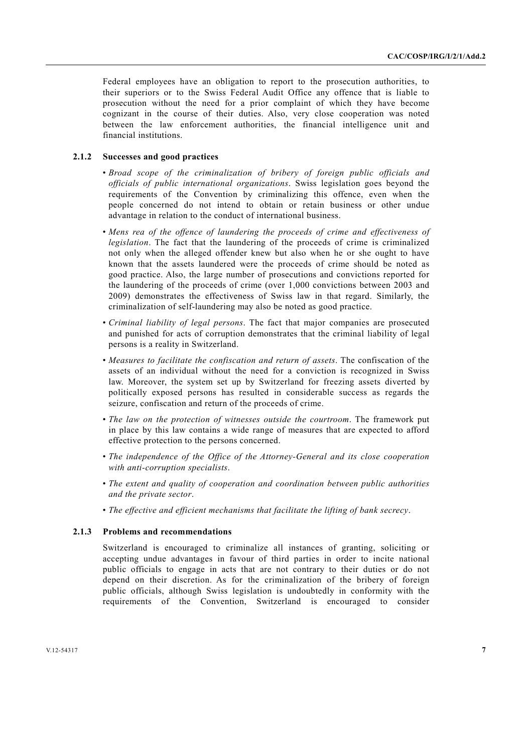Federal employees have an obligation to report to the prosecution authorities, to their superiors or to the Swiss Federal Audit Office any offence that is liable to prosecution without the need for a prior complaint of which they have become cognizant in the course of their duties. Also, very close cooperation was noted between the law enforcement authorities, the financial intelligence unit and financial institutions.

# **2.1.2 Successes and good practices**

- *Broad scope of the criminalization of bribery of foreign public officials and officials of public international organizations*. Swiss legislation goes beyond the requirements of the Convention by criminalizing this offence, even when the people concerned do not intend to obtain or retain business or other undue advantage in relation to the conduct of international business.
- *Mens rea of the offence of laundering the proceeds of crime and effectiveness of legislation*. The fact that the laundering of the proceeds of crime is criminalized not only when the alleged offender knew but also when he or she ought to have known that the assets laundered were the proceeds of crime should be noted as good practice. Also, the large number of prosecutions and convictions reported for the laundering of the proceeds of crime (over 1,000 convictions between 2003 and 2009) demonstrates the effectiveness of Swiss law in that regard. Similarly, the criminalization of self-laundering may also be noted as good practice.
- *Criminal liability of legal persons*. The fact that major companies are prosecuted and punished for acts of corruption demonstrates that the criminal liability of legal persons is a reality in Switzerland.
- *Measures to facilitate the confiscation and return of assets*. The confiscation of the assets of an individual without the need for a conviction is recognized in Swiss law. Moreover, the system set up by Switzerland for freezing assets diverted by politically exposed persons has resulted in considerable success as regards the seizure, confiscation and return of the proceeds of crime.
- *The law on the protection of witnesses outside the courtroom*. The framework put in place by this law contains a wide range of measures that are expected to afford effective protection to the persons concerned.
- *The independence of the Office of the Attorney-General and its close cooperation with anti-corruption specialists*.
- *The extent and quality of cooperation and coordination between public authorities and the private sector*.
- *The effective and efficient mechanisms that facilitate the lifting of bank secrecy*.

#### **2.1.3 Problems and recommendations**

Switzerland is encouraged to criminalize all instances of granting, soliciting or accepting undue advantages in favour of third parties in order to incite national public officials to engage in acts that are not contrary to their duties or do not depend on their discretion. As for the criminalization of the bribery of foreign public officials, although Swiss legislation is undoubtedly in conformity with the requirements of the Convention, Switzerland is encouraged to consider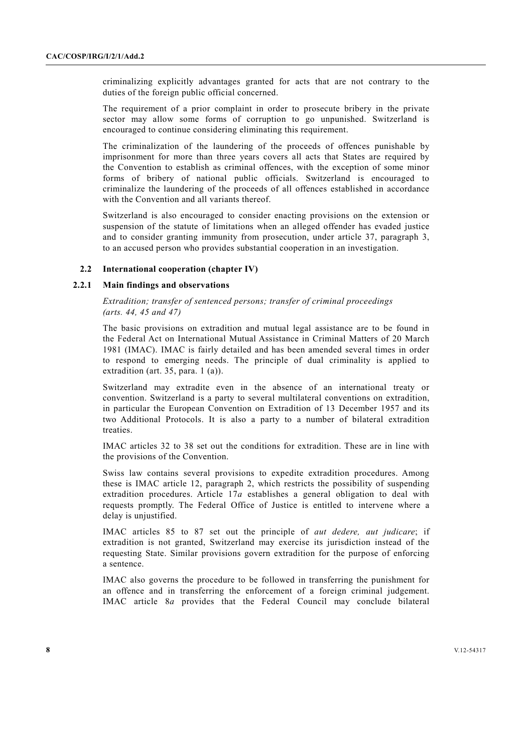criminalizing explicitly advantages granted for acts that are not contrary to the duties of the foreign public official concerned.

The requirement of a prior complaint in order to prosecute bribery in the private sector may allow some forms of corruption to go unpunished. Switzerland is encouraged to continue considering eliminating this requirement.

The criminalization of the laundering of the proceeds of offences punishable by imprisonment for more than three years covers all acts that States are required by the Convention to establish as criminal offences, with the exception of some minor forms of bribery of national public officials. Switzerland is encouraged to criminalize the laundering of the proceeds of all offences established in accordance with the Convention and all variants thereof.

Switzerland is also encouraged to consider enacting provisions on the extension or suspension of the statute of limitations when an alleged offender has evaded justice and to consider granting immunity from prosecution, under article 37, paragraph 3, to an accused person who provides substantial cooperation in an investigation.

### **2.2 International cooperation (chapter IV)**

#### **2.2.1 Main findings and observations**

 *Extradition; transfer of sentenced persons; transfer of criminal proceedings (arts. 44, 45 and 47)* 

The basic provisions on extradition and mutual legal assistance are to be found in the Federal Act on International Mutual Assistance in Criminal Matters of 20 March 1981 (IMAC). IMAC is fairly detailed and has been amended several times in order to respond to emerging needs. The principle of dual criminality is applied to extradition (art. 35, para. 1 (a)).

Switzerland may extradite even in the absence of an international treaty or convention. Switzerland is a party to several multilateral conventions on extradition, in particular the European Convention on Extradition of 13 December 1957 and its two Additional Protocols. It is also a party to a number of bilateral extradition treaties.

IMAC articles 32 to 38 set out the conditions for extradition. These are in line with the provisions of the Convention.

Swiss law contains several provisions to expedite extradition procedures. Among these is IMAC article 12, paragraph 2, which restricts the possibility of suspending extradition procedures. Article 17*a* establishes a general obligation to deal with requests promptly. The Federal Office of Justice is entitled to intervene where a delay is unjustified.

IMAC articles 85 to 87 set out the principle of *aut dedere, aut judicare*; if extradition is not granted, Switzerland may exercise its jurisdiction instead of the requesting State. Similar provisions govern extradition for the purpose of enforcing a sentence.

IMAC also governs the procedure to be followed in transferring the punishment for an offence and in transferring the enforcement of a foreign criminal judgement. IMAC article 8*a* provides that the Federal Council may conclude bilateral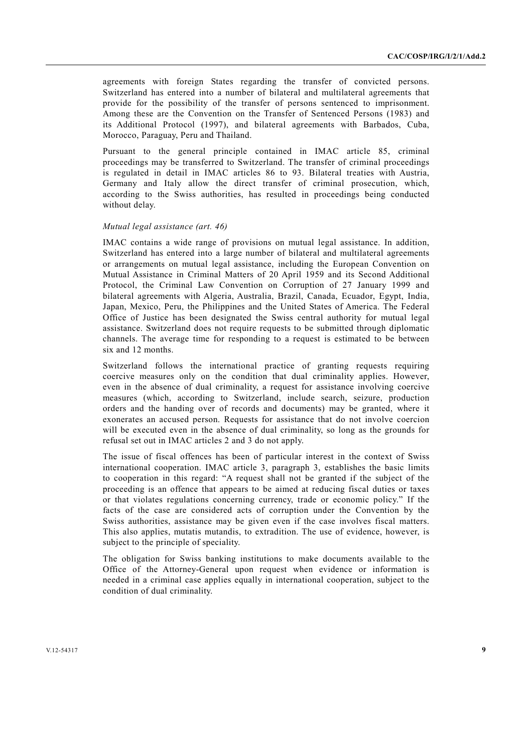agreements with foreign States regarding the transfer of convicted persons. Switzerland has entered into a number of bilateral and multilateral agreements that provide for the possibility of the transfer of persons sentenced to imprisonment. Among these are the Convention on the Transfer of Sentenced Persons (1983) and its Additional Protocol (1997), and bilateral agreements with Barbados, Cuba, Morocco, Paraguay, Peru and Thailand.

Pursuant to the general principle contained in IMAC article 85, criminal proceedings may be transferred to Switzerland. The transfer of criminal proceedings is regulated in detail in IMAC articles 86 to 93. Bilateral treaties with Austria, Germany and Italy allow the direct transfer of criminal prosecution, which, according to the Swiss authorities, has resulted in proceedings being conducted without delay.

### *Mutual legal assistance (art. 46)*

IMAC contains a wide range of provisions on mutual legal assistance. In addition, Switzerland has entered into a large number of bilateral and multilateral agreements or arrangements on mutual legal assistance, including the European Convention on Mutual Assistance in Criminal Matters of 20 April 1959 and its Second Additional Protocol, the Criminal Law Convention on Corruption of 27 January 1999 and bilateral agreements with Algeria, Australia, Brazil, Canada, Ecuador, Egypt, India, Japan, Mexico, Peru, the Philippines and the United States of America. The Federal Office of Justice has been designated the Swiss central authority for mutual legal assistance. Switzerland does not require requests to be submitted through diplomatic channels. The average time for responding to a request is estimated to be between six and 12 months.

Switzerland follows the international practice of granting requests requiring coercive measures only on the condition that dual criminality applies. However, even in the absence of dual criminality, a request for assistance involving coercive measures (which, according to Switzerland, include search, seizure, production orders and the handing over of records and documents) may be granted, where it exonerates an accused person. Requests for assistance that do not involve coercion will be executed even in the absence of dual criminality, so long as the grounds for refusal set out in IMAC articles 2 and 3 do not apply.

The issue of fiscal offences has been of particular interest in the context of Swiss international cooperation. IMAC article 3, paragraph 3, establishes the basic limits to cooperation in this regard: "A request shall not be granted if the subject of the proceeding is an offence that appears to be aimed at reducing fiscal duties or taxes or that violates regulations concerning currency, trade or economic policy." If the facts of the case are considered acts of corruption under the Convention by the Swiss authorities, assistance may be given even if the case involves fiscal matters. This also applies, mutatis mutandis, to extradition. The use of evidence, however, is subject to the principle of speciality.

The obligation for Swiss banking institutions to make documents available to the Office of the Attorney-General upon request when evidence or information is needed in a criminal case applies equally in international cooperation, subject to the condition of dual criminality.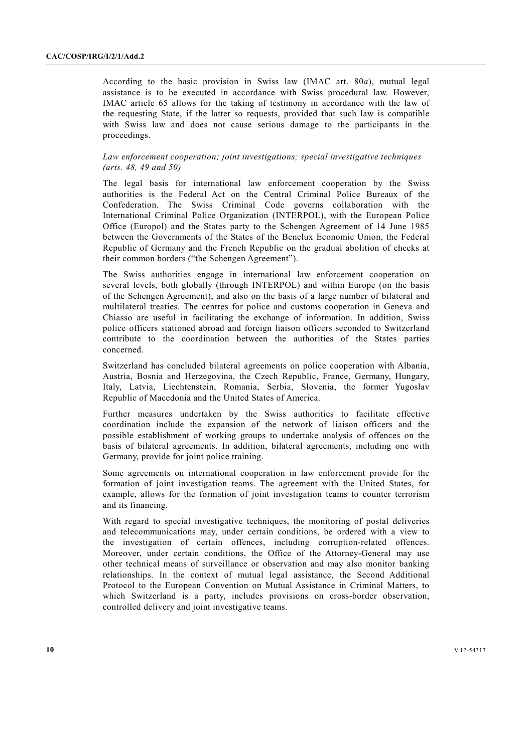According to the basic provision in Swiss law (IMAC art. 80*a*), mutual legal assistance is to be executed in accordance with Swiss procedural law. However, IMAC article 65 allows for the taking of testimony in accordance with the law of the requesting State, if the latter so requests, provided that such law is compatible with Swiss law and does not cause serious damage to the participants in the proceedings.

### *Law enforcement cooperation; joint investigations; special investigative techniques (arts. 48, 49 and 50)*

The legal basis for international law enforcement cooperation by the Swiss authorities is the Federal Act on the Central Criminal Police Bureaux of the Confederation. The Swiss Criminal Code governs collaboration with the International Criminal Police Organization (INTERPOL), with the European Police Office (Europol) and the States party to the Schengen Agreement of 14 June 1985 between the Governments of the States of the Benelux Economic Union, the Federal Republic of Germany and the French Republic on the gradual abolition of checks at their common borders ("the Schengen Agreement").

The Swiss authorities engage in international law enforcement cooperation on several levels, both globally (through INTERPOL) and within Europe (on the basis of the Schengen Agreement), and also on the basis of a large number of bilateral and multilateral treaties. The centres for police and customs cooperation in Geneva and Chiasso are useful in facilitating the exchange of information. In addition, Swiss police officers stationed abroad and foreign liaison officers seconded to Switzerland contribute to the coordination between the authorities of the States parties concerned.

Switzerland has concluded bilateral agreements on police cooperation with Albania, Austria, Bosnia and Herzegovina, the Czech Republic, France, Germany, Hungary, Italy, Latvia, Liechtenstein, Romania, Serbia, Slovenia, the former Yugoslav Republic of Macedonia and the United States of America.

Further measures undertaken by the Swiss authorities to facilitate effective coordination include the expansion of the network of liaison officers and the possible establishment of working groups to undertake analysis of offences on the basis of bilateral agreements. In addition, bilateral agreements, including one with Germany, provide for joint police training.

Some agreements on international cooperation in law enforcement provide for the formation of joint investigation teams. The agreement with the United States, for example, allows for the formation of joint investigation teams to counter terrorism and its financing.

With regard to special investigative techniques, the monitoring of postal deliveries and telecommunications may, under certain conditions, be ordered with a view to the investigation of certain offences, including corruption-related offences. Moreover, under certain conditions, the Office of the Attorney-General may use other technical means of surveillance or observation and may also monitor banking relationships. In the context of mutual legal assistance, the Second Additional Protocol to the European Convention on Mutual Assistance in Criminal Matters, to which Switzerland is a party, includes provisions on cross-border observation, controlled delivery and joint investigative teams.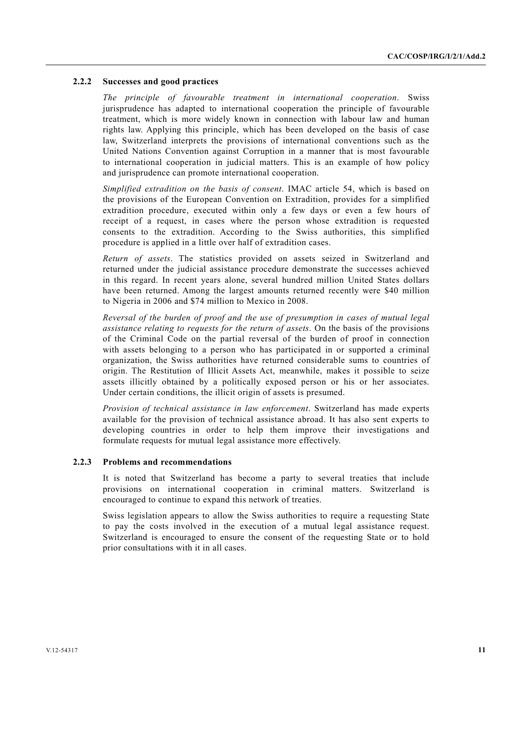#### **2.2.2 Successes and good practices**

*The principle of favourable treatment in international cooperation*. Swiss jurisprudence has adapted to international cooperation the principle of favourable treatment, which is more widely known in connection with labour law and human rights law. Applying this principle, which has been developed on the basis of case law, Switzerland interprets the provisions of international conventions such as the United Nations Convention against Corruption in a manner that is most favourable to international cooperation in judicial matters. This is an example of how policy and jurisprudence can promote international cooperation.

*Simplified extradition on the basis of consent*. IMAC article 54, which is based on the provisions of the European Convention on Extradition, provides for a simplified extradition procedure, executed within only a few days or even a few hours of receipt of a request, in cases where the person whose extradition is requested consents to the extradition. According to the Swiss authorities, this simplified procedure is applied in a little over half of extradition cases.

*Return of assets*. The statistics provided on assets seized in Switzerland and returned under the judicial assistance procedure demonstrate the successes achieved in this regard. In recent years alone, several hundred million United States dollars have been returned. Among the largest amounts returned recently were \$40 million to Nigeria in 2006 and \$74 million to Mexico in 2008.

*Reversal of the burden of proof and the use of presumption in cases of mutual legal assistance relating to requests for the return of assets*. On the basis of the provisions of the Criminal Code on the partial reversal of the burden of proof in connection with assets belonging to a person who has participated in or supported a criminal organization, the Swiss authorities have returned considerable sums to countries of origin. The Restitution of Illicit Assets Act, meanwhile, makes it possible to seize assets illicitly obtained by a politically exposed person or his or her associates. Under certain conditions, the illicit origin of assets is presumed.

*Provision of technical assistance in law enforcement*. Switzerland has made experts available for the provision of technical assistance abroad. It has also sent experts to developing countries in order to help them improve their investigations and formulate requests for mutual legal assistance more effectively.

# **2.2.3 Problems and recommendations**

It is noted that Switzerland has become a party to several treaties that include provisions on international cooperation in criminal matters. Switzerland is encouraged to continue to expand this network of treaties.

Swiss legislation appears to allow the Swiss authorities to require a requesting State to pay the costs involved in the execution of a mutual legal assistance request. Switzerland is encouraged to ensure the consent of the requesting State or to hold prior consultations with it in all cases.